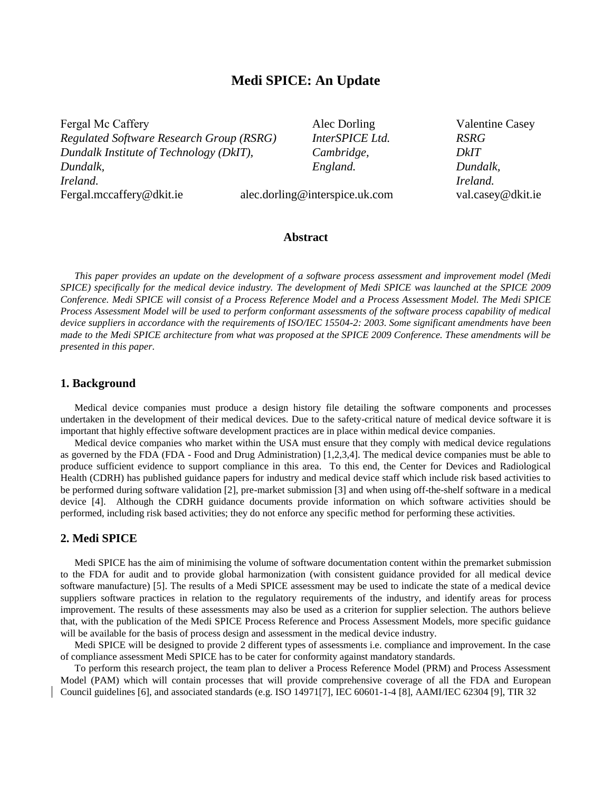# **Medi SPICE: An Update**

Fergal Mc Caffery **Alec Dorling** Valentine Casey *Regulated Software Research Group (RSRG) InterSPICE Ltd. RSRG Dundalk Institute of Technology (DkIT), Cambridge, DkIT Dundalk, England. Dundalk, Ireland. Ireland.* [Fergal.mccaffery@dkit.ie](mailto:Fergal.mccaffery@dkit.ie) [alec.dorling@interspice.uk.com](mailto:alec.dorling@interspice.uk.com) val.casey@dkit.ie

### **Abstract**

*This paper provides an update on the development of a software process assessment and improvement model (Medi SPICE) specifically for the medical device industry. The development of Medi SPICE was launched at the SPICE 2009 Conference. Medi SPICE will consist of a Process Reference Model and a Process Assessment Model. The Medi SPICE Process Assessment Model will be used to perform conformant assessments of the software process capability of medical device suppliers in accordance with the requirements of ISO/IEC 15504-2: 2003. Some significant amendments have been made to the Medi SPICE architecture from what was proposed at the SPICE 2009 Conference. These amendments will be presented in this paper.*

#### **1. Background**

Medical device companies must produce a design history file detailing the software components and processes undertaken in the development of their medical devices. Due to the safety-critical nature of medical device software it is important that highly effective software development practices are in place within medical device companies.

Medical device companies who market within the USA must ensure that they comply with medical device regulations as governed by the FDA (FDA - Food and Drug Administration) [1,2,3,4]. The medical device companies must be able to produce sufficient evidence to support compliance in this area. To this end, the Center for Devices and Radiological Health (CDRH) has published guidance papers for industry and medical device staff which include risk based activities to be performed during software validation [2], pre-market submission [3] and when using off-the-shelf software in a medical device [4]. Although the CDRH guidance documents provide information on which software activities should be performed, including risk based activities; they do not enforce any specific method for performing these activities.

## **2. Medi SPICE**

Medi SPICE has the aim of minimising the volume of software documentation content within the premarket submission to the FDA for audit and to provide global harmonization (with consistent guidance provided for all medical device software manufacture) [5]. The results of a Medi SPICE assessment may be used to indicate the state of a medical device suppliers software practices in relation to the regulatory requirements of the industry, and identify areas for process improvement. The results of these assessments may also be used as a criterion for supplier selection. The authors believe that, with the publication of the Medi SPICE Process Reference and Process Assessment Models, more specific guidance will be available for the basis of process design and assessment in the medical device industry.

Medi SPICE will be designed to provide 2 different types of assessments i.e. compliance and improvement. In the case of compliance assessment Medi SPICE has to be cater for conformity against mandatory standards.

To perform this research project, the team plan to deliver a Process Reference Model (PRM) and Process Assessment Model (PAM) which will contain processes that will provide comprehensive coverage of all the FDA and European Council guidelines [6], and associated standards (e.g. ISO 14971[7], IEC 60601-1-4 [8], AAMI/IEC 62304 [9], TIR 32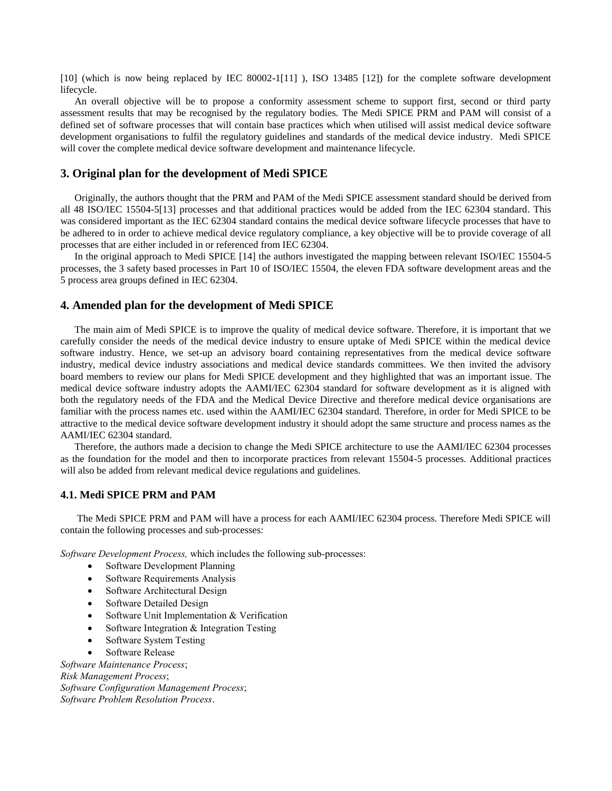[10] (which is now being replaced by IEC 80002-1[11] ), ISO 13485 [12]) for the complete software development lifecycle.

An overall objective will be to propose a conformity assessment scheme to support first, second or third party assessment results that may be recognised by the regulatory bodies. The Medi SPICE PRM and PAM will consist of a defined set of software processes that will contain base practices which when utilised will assist medical device software development organisations to fulfil the regulatory guidelines and standards of the medical device industry. Medi SPICE will cover the complete medical device software development and maintenance lifecycle.

#### **3. Original plan for the development of Medi SPICE**

Originally, the authors thought that the PRM and PAM of the Medi SPICE assessment standard should be derived from all 48 ISO/IEC 15504-5[13] processes and that additional practices would be added from the IEC 62304 standard. This was considered important as the IEC 62304 standard contains the medical device software lifecycle processes that have to be adhered to in order to achieve medical device regulatory compliance, a key objective will be to provide coverage of all processes that are either included in or referenced from IEC 62304.

In the original approach to Medi SPICE [14] the authors investigated the mapping between relevant ISO/IEC 15504-5 processes, the 3 safety based processes in Part 10 of ISO/IEC 15504, the eleven FDA software development areas and the 5 process area groups defined in IEC 62304.

#### **4. Amended plan for the development of Medi SPICE**

The main aim of Medi SPICE is to improve the quality of medical device software. Therefore, it is important that we carefully consider the needs of the medical device industry to ensure uptake of Medi SPICE within the medical device software industry. Hence, we set-up an advisory board containing representatives from the medical device software industry, medical device industry associations and medical device standards committees. We then invited the advisory board members to review our plans for Medi SPICE development and they highlighted that was an important issue. The medical device software industry adopts the AAMI/IEC 62304 standard for software development as it is aligned with both the regulatory needs of the FDA and the Medical Device Directive and therefore medical device organisations are familiar with the process names etc. used within the AAMI/IEC 62304 standard. Therefore, in order for Medi SPICE to be attractive to the medical device software development industry it should adopt the same structure and process names as the AAMI/IEC 62304 standard.

Therefore, the authors made a decision to change the Medi SPICE architecture to use the AAMI/IEC 62304 processes as the foundation for the model and then to incorporate practices from relevant 15504-5 processes. Additional practices will also be added from relevant medical device regulations and guidelines.

# **4.1. Medi SPICE PRM and PAM**

The Medi SPICE PRM and PAM will have a process for each AAMI/IEC 62304 process. Therefore Medi SPICE will contain the following processes and sub-processes:

*Software Development Process,* which includes the following sub-processes:

- Software Development Planning
- Software Requirements Analysis
- Software Architectural Design
- Software Detailed Design
- Software Unit Implementation & Verification
- Software Integration & Integration Testing
- Software System Testing
- Software Release

*Software Maintenance Process*; *Risk Management Process*; *Software Configuration Management Process*; *Software Problem Resolution Process*.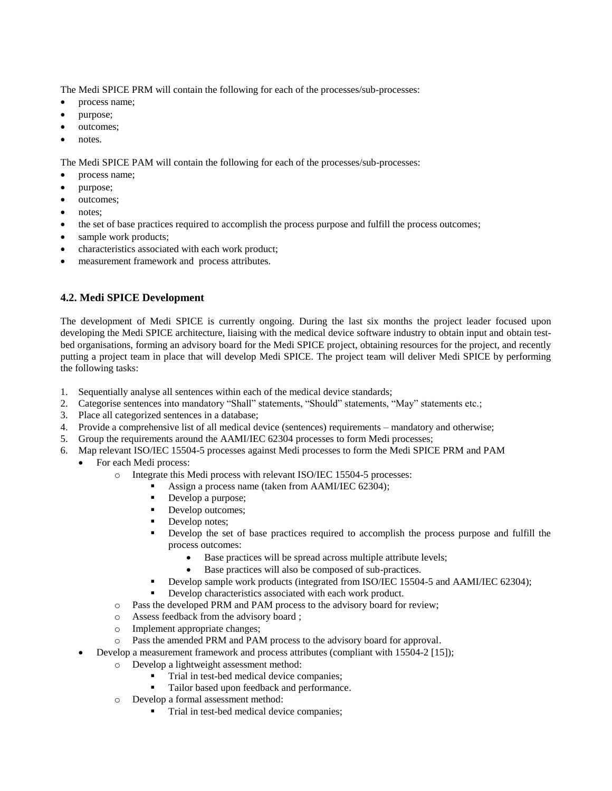The Medi SPICE PRM will contain the following for each of the processes/sub-processes:

- process name;
- purpose;
- outcomes;
- notes.

The Medi SPICE PAM will contain the following for each of the processes/sub-processes:

- process name;
- purpose;
- outcomes;
- notes:
- the set of base practices required to accomplish the process purpose and fulfill the process outcomes;
- sample work products;
- characteristics associated with each work product;
- measurement framework and process attributes.

# **4.2. Medi SPICE Development**

The development of Medi SPICE is currently ongoing. During the last six months the project leader focused upon developing the Medi SPICE architecture, liaising with the medical device software industry to obtain input and obtain testbed organisations, forming an advisory board for the Medi SPICE project, obtaining resources for the project, and recently putting a project team in place that will develop Medi SPICE. The project team will deliver Medi SPICE by performing the following tasks:

- 1. Sequentially analyse all sentences within each of the medical device standards;
- 2. Categorise sentences into mandatory "Shall" statements, "Should" statements, "May" statements etc.;
- 3. Place all categorized sentences in a database;
- 4. Provide a comprehensive list of all medical device (sentences) requirements mandatory and otherwise;
- 5. Group the requirements around the AAMI/IEC 62304 processes to form Medi processes;
- 6. Map relevant ISO/IEC 15504-5 processes against Medi processes to form the Medi SPICE PRM and PAM
	- For each Medi process:
		- o Integrate this Medi process with relevant ISO/IEC 15504-5 processes:
			- Assign a process name (taken from AAMI/IEC 62304);
			- Develop a purpose;
			- Develop outcomes;
			- Develop notes;
			- Develop the set of base practices required to accomplish the process purpose and fulfill the process outcomes:
				- Base practices will be spread across multiple attribute levels;
				- Base practices will also be composed of sub-practices.
			- Develop sample work products (integrated from ISO/IEC 15504-5 and AAMI/IEC 62304);
			- Develop characteristics associated with each work product.
		- o Pass the developed PRM and PAM process to the advisory board for review;
		- o Assess feedback from the advisory board ;
		- o Implement appropriate changes;
		- o Pass the amended PRM and PAM process to the advisory board for approval.
		- Develop a measurement framework and process attributes (compliant with 15504-2 [15]);
			- o Develop a lightweight assessment method:
				- Trial in test-bed medical device companies;
				- **Tailor based upon feedback and performance.**
			- o Develop a formal assessment method:
				- Trial in test-bed medical device companies;